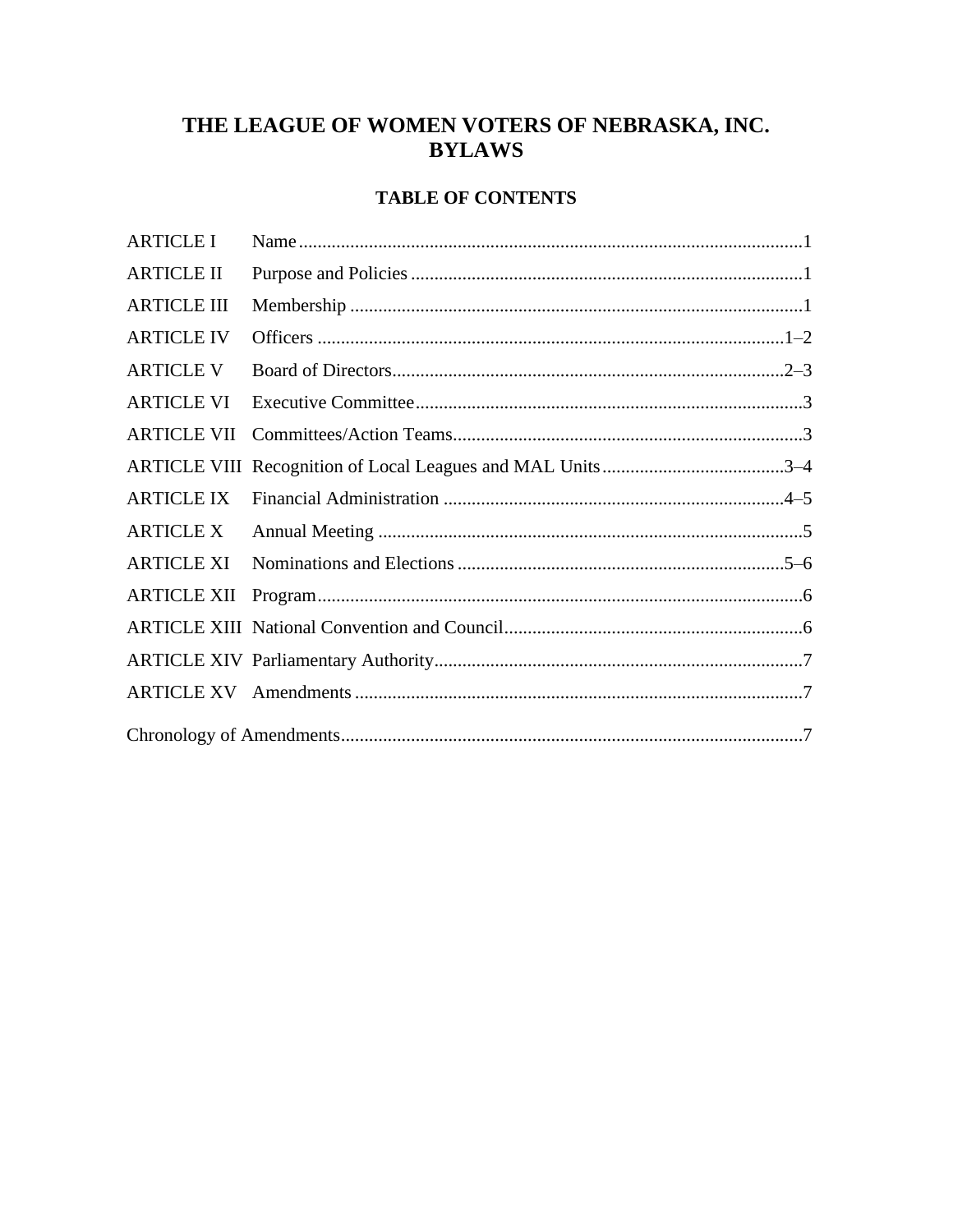# THE LEAGUE OF WOMEN VOTERS OF NEBRASKA, INC. **BYLAWS**

# **TABLE OF CONTENTS**

| <b>ARTICLE I</b>   |  |
|--------------------|--|
| <b>ARTICLE II</b>  |  |
| <b>ARTICLE III</b> |  |
| <b>ARTICLE IV</b>  |  |
| <b>ARTICLE V</b>   |  |
| <b>ARTICLE VI</b>  |  |
|                    |  |
|                    |  |
| <b>ARTICLE IX</b>  |  |
| <b>ARTICLE X</b>   |  |
| <b>ARTICLE XI</b>  |  |
|                    |  |
|                    |  |
|                    |  |
|                    |  |
|                    |  |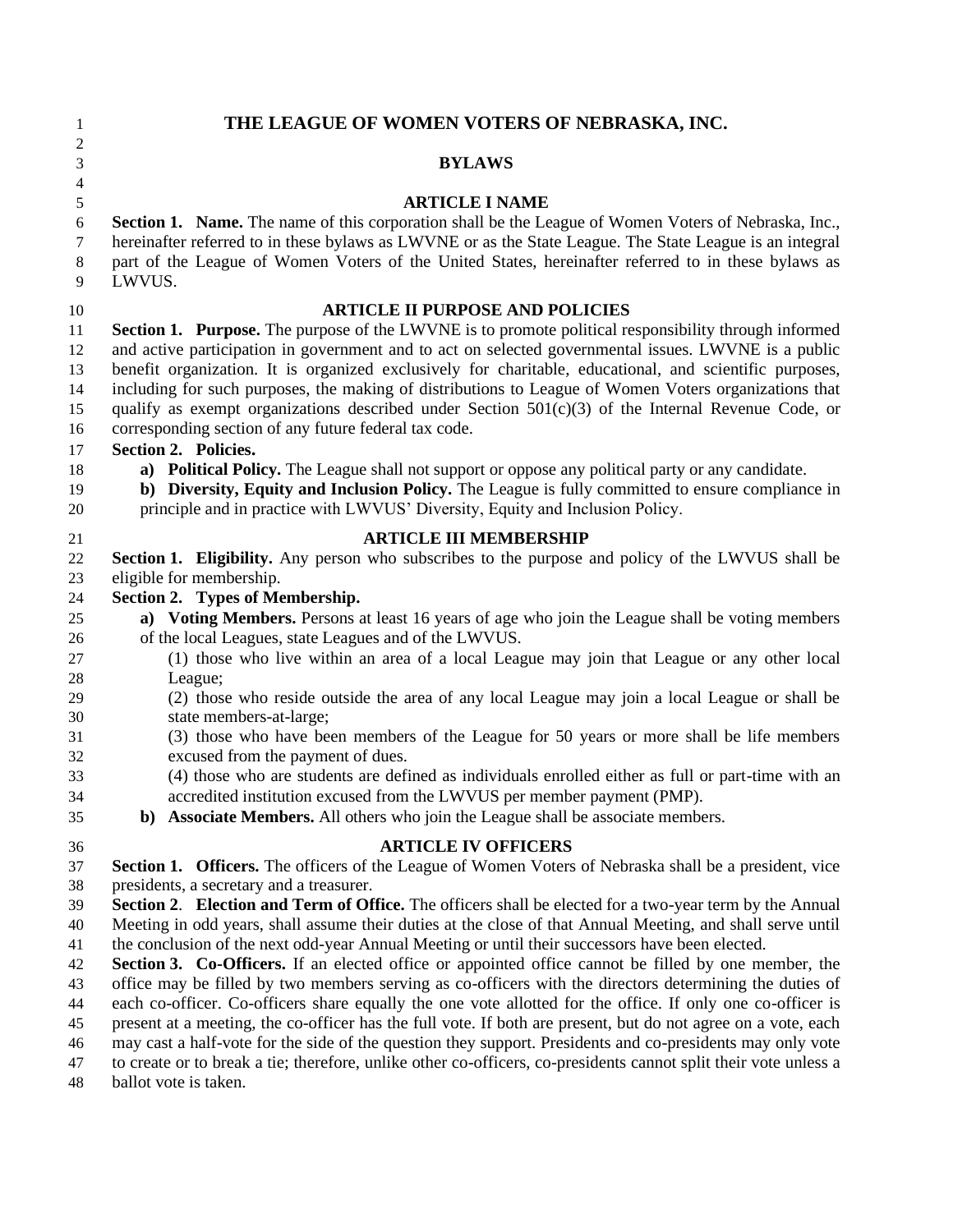| $\mathbf{1}$   | THE LEAGUE OF WOMEN VOTERS OF NEBRASKA, INC.                                                                                                                                                                    |  |  |
|----------------|-----------------------------------------------------------------------------------------------------------------------------------------------------------------------------------------------------------------|--|--|
| 2<br>3         | <b>BYLAWS</b>                                                                                                                                                                                                   |  |  |
| $\overline{4}$ |                                                                                                                                                                                                                 |  |  |
| $\mathfrak{S}$ | <b>ARTICLE I NAME</b>                                                                                                                                                                                           |  |  |
| 6              | Section 1. Name. The name of this corporation shall be the League of Women Voters of Nebraska, Inc.,                                                                                                            |  |  |
| 7<br>8         | hereinafter referred to in these bylaws as LWVNE or as the State League. The State League is an integral<br>part of the League of Women Voters of the United States, hereinafter referred to in these bylaws as |  |  |
| 9              | LWVUS.                                                                                                                                                                                                          |  |  |
| 10             | <b>ARTICLE II PURPOSE AND POLICIES</b>                                                                                                                                                                          |  |  |
| 11             | <b>Section 1. Purpose.</b> The purpose of the LWVNE is to promote political responsibility through informed                                                                                                     |  |  |
| 12             | and active participation in government and to act on selected governmental issues. LWVNE is a public                                                                                                            |  |  |
| 13             | benefit organization. It is organized exclusively for charitable, educational, and scientific purposes,                                                                                                         |  |  |
| 14             | including for such purposes, the making of distributions to League of Women Voters organizations that                                                                                                           |  |  |
| 15             | qualify as exempt organizations described under Section $501(c)(3)$ of the Internal Revenue Code, or                                                                                                            |  |  |
| 16             | corresponding section of any future federal tax code.                                                                                                                                                           |  |  |
| 17             | Section 2. Policies.                                                                                                                                                                                            |  |  |
| 18             | a) Political Policy. The League shall not support or oppose any political party or any candidate.                                                                                                               |  |  |
| 19             | b) Diversity, Equity and Inclusion Policy. The League is fully committed to ensure compliance in                                                                                                                |  |  |
| 20             | principle and in practice with LWVUS' Diversity, Equity and Inclusion Policy.                                                                                                                                   |  |  |
| 21             | <b>ARTICLE III MEMBERSHIP</b>                                                                                                                                                                                   |  |  |
| 22             | Section 1. Eligibility. Any person who subscribes to the purpose and policy of the LWVUS shall be                                                                                                               |  |  |
| 23             | eligible for membership.                                                                                                                                                                                        |  |  |
| 24             | Section 2. Types of Membership.                                                                                                                                                                                 |  |  |
| 25             | a) Voting Members. Persons at least 16 years of age who join the League shall be voting members                                                                                                                 |  |  |
| 26             | of the local Leagues, state Leagues and of the LWVUS.                                                                                                                                                           |  |  |
| 27             | (1) those who live within an area of a local League may join that League or any other local                                                                                                                     |  |  |
| 28             | League;                                                                                                                                                                                                         |  |  |
| 29             | (2) those who reside outside the area of any local League may join a local League or shall be<br>state members-at-large;                                                                                        |  |  |
| 30<br>31       | (3) those who have been members of the League for 50 years or more shall be life members                                                                                                                        |  |  |
| 32             | excused from the payment of dues.                                                                                                                                                                               |  |  |
| 33             | (4) those who are students are defined as individuals enrolled either as full or part-time with an                                                                                                              |  |  |
| 34             | accredited institution excused from the LWVUS per member payment (PMP).                                                                                                                                         |  |  |
| 35             | b) Associate Members. All others who join the League shall be associate members.                                                                                                                                |  |  |
| 36             | <b>ARTICLE IV OFFICERS</b>                                                                                                                                                                                      |  |  |
| 37             | Section 1. Officers. The officers of the League of Women Voters of Nebraska shall be a president, vice                                                                                                          |  |  |
| 38             | presidents, a secretary and a treasurer.                                                                                                                                                                        |  |  |
| 39             | Section 2. Election and Term of Office. The officers shall be elected for a two-year term by the Annual                                                                                                         |  |  |
| 40             | Meeting in odd years, shall assume their duties at the close of that Annual Meeting, and shall serve until                                                                                                      |  |  |
| 41             | the conclusion of the next odd-year Annual Meeting or until their successors have been elected.                                                                                                                 |  |  |
| 42             | Section 3. Co-Officers. If an elected office or appointed office cannot be filled by one member, the                                                                                                            |  |  |
| 43             | office may be filled by two members serving as co-officers with the directors determining the duties of                                                                                                         |  |  |
| 44             | each co-officer. Co-officers share equally the one vote allotted for the office. If only one co-officer is                                                                                                      |  |  |
| 45             | present at a meeting, the co-officer has the full vote. If both are present, but do not agree on a vote, each                                                                                                   |  |  |

may cast a half-vote for the side of the question they support. Presidents and co-presidents may only vote

to create or to break a tie; therefore, unlike other co-officers, co-presidents cannot split their vote unless a

ballot vote is taken.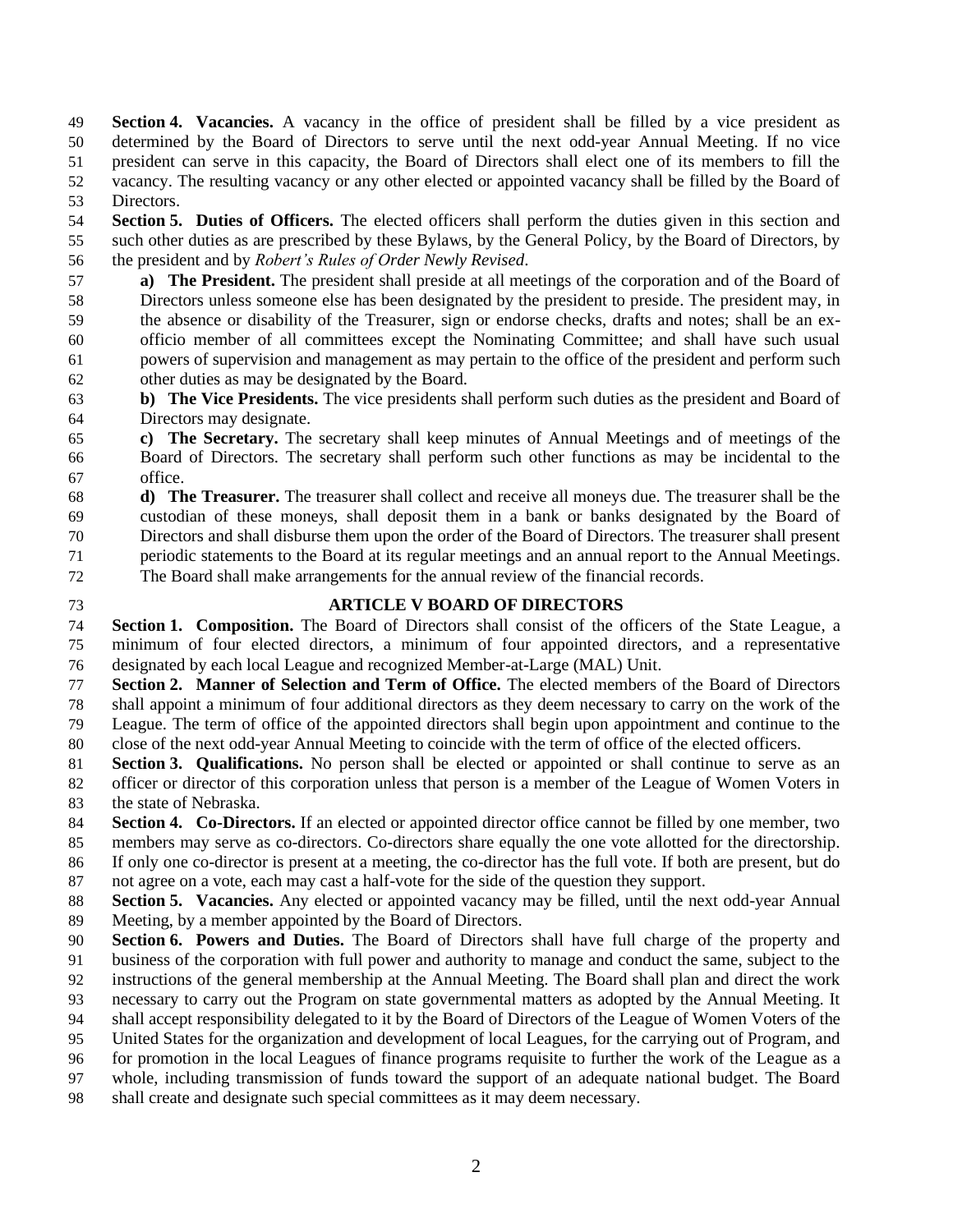**Section 4. Vacancies.** A vacancy in the office of president shall be filled by a vice president as determined by the Board of Directors to serve until the next odd-year Annual Meeting. If no vice president can serve in this capacity, the Board of Directors shall elect one of its members to fill the vacancy. The resulting vacancy or any other elected or appointed vacancy shall be filled by the Board of Directors.

 **Section 5. Duties of Officers.** The elected officers shall perform the duties given in this section and such other duties as are prescribed by these Bylaws, by the General Policy, by the Board of Directors, by the president and by *Robert's Rules of Order Newly Revised*.

 **a) The President.** The president shall preside at all meetings of the corporation and of the Board of Directors unless someone else has been designated by the president to preside. The president may, in the absence or disability of the Treasurer, sign or endorse checks, drafts and notes; shall be an ex- officio member of all committees except the Nominating Committee; and shall have such usual powers of supervision and management as may pertain to the office of the president and perform such other duties as may be designated by the Board.

 **b) The Vice Presidents.** The vice presidents shall perform such duties as the president and Board of Directors may designate.

 **c) The Secretary.** The secretary shall keep minutes of Annual Meetings and of meetings of the Board of Directors. The secretary shall perform such other functions as may be incidental to the office.

 **d) The Treasurer.** The treasurer shall collect and receive all moneys due. The treasurer shall be the custodian of these moneys, shall deposit them in a bank or banks designated by the Board of Directors and shall disburse them upon the order of the Board of Directors. The treasurer shall present periodic statements to the Board at its regular meetings and an annual report to the Annual Meetings.

- The Board shall make arrangements for the annual review of the financial records.
- 

# **ARTICLE V BOARD OF DIRECTORS**

 **Section 1. Composition.** The Board of Directors shall consist of the officers of the State League, a minimum of four elected directors, a minimum of four appointed directors, and a representative designated by each local League and recognized Member-at-Large (MAL) Unit.

 **Section 2. Manner of Selection and Term of Office.** The elected members of the Board of Directors shall appoint a minimum of four additional directors as they deem necessary to carry on the work of the League. The term of office of the appointed directors shall begin upon appointment and continue to the

close of the next odd-year Annual Meeting to coincide with the term of office of the elected officers.

 **Section 3. Qualifications.** No person shall be elected or appointed or shall continue to serve as an officer or director of this corporation unless that person is a member of the League of Women Voters in the state of Nebraska.

**Section 4. Co-Directors.** If an elected or appointed director office cannot be filled by one member, two

members may serve as co-directors. Co-directors share equally the one vote allotted for the directorship.

If only one co-director is present at a meeting, the co-director has the full vote. If both are present, but do

not agree on a vote, each may cast a half-vote for the side of the question they support.

 **Section 5. Vacancies.** Any elected or appointed vacancy may be filled, until the next odd-year Annual Meeting, by a member appointed by the Board of Directors.

 **Section 6. Powers and Duties.** The Board of Directors shall have full charge of the property and business of the corporation with full power and authority to manage and conduct the same, subject to the

instructions of the general membership at the Annual Meeting. The Board shall plan and direct the work

necessary to carry out the Program on state governmental matters as adopted by the Annual Meeting. It

shall accept responsibility delegated to it by the Board of Directors of the League of Women Voters of the

United States for the organization and development of local Leagues, for the carrying out of Program, and

for promotion in the local Leagues of finance programs requisite to further the work of the League as a

whole, including transmission of funds toward the support of an adequate national budget. The Board

shall create and designate such special committees as it may deem necessary.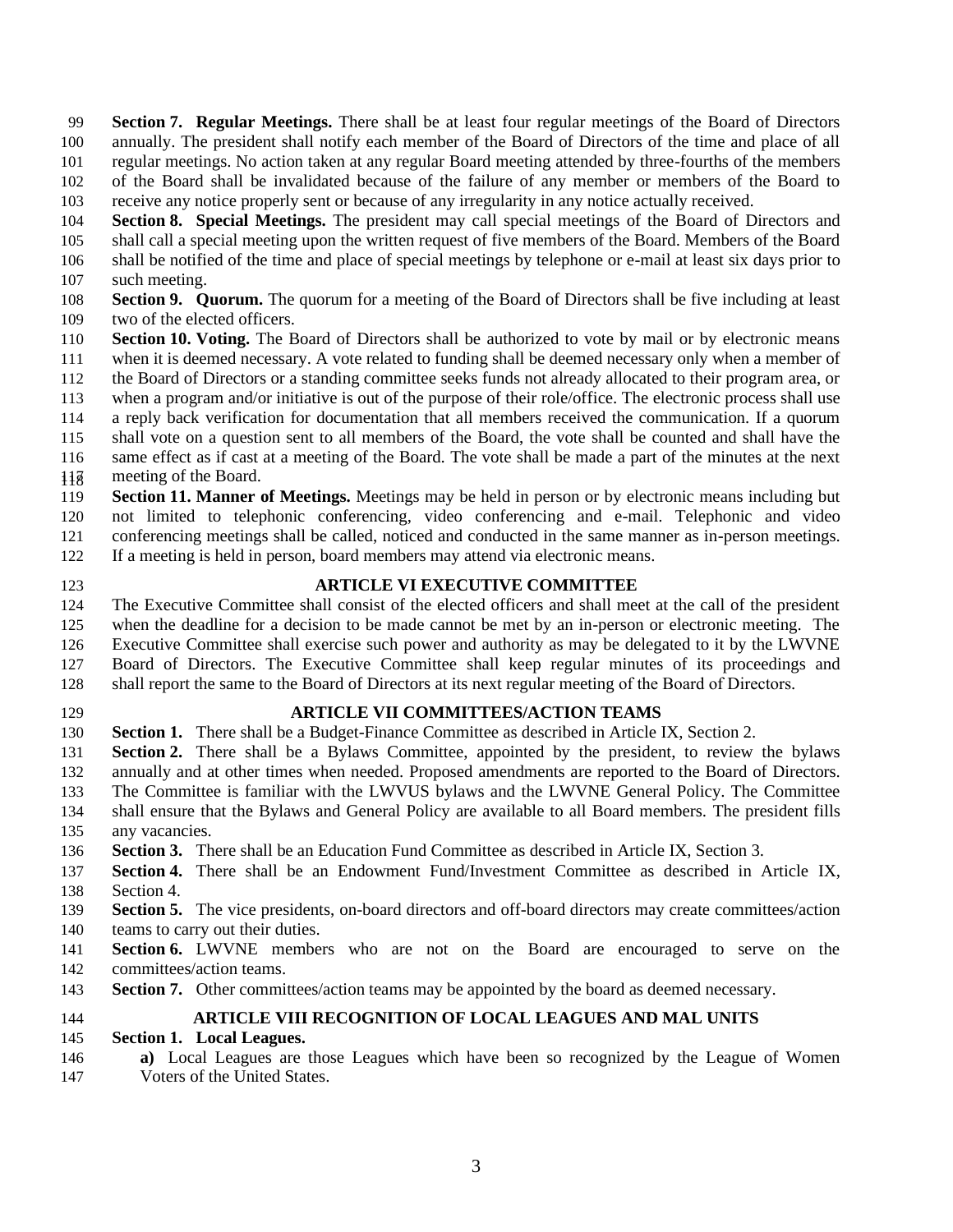**Section 7. Regular Meetings.** There shall be at least four regular meetings of the Board of Directors annually. The president shall notify each member of the Board of Directors of the time and place of all regular meetings. No action taken at any regular Board meeting attended by three-fourths of the members of the Board shall be invalidated because of the failure of any member or members of the Board to

receive any notice properly sent or because of any irregularity in any notice actually received.

**Section 8. Special Meetings.** The president may call special meetings of the Board of Directors and

 shall call a special meeting upon the written request of five members of the Board. Members of the Board shall be notified of the time and place of special meetings by telephone or e-mail at least six days prior to

such meeting.

### **Section 9. Quorum.** The quorum for a meeting of the Board of Directors shall be five including at least two of the elected officers.

**Section 10. Voting.** The Board of Directors shall be authorized to vote by mail or by electronic means

when it is deemed necessary. A vote related to funding shall be deemed necessary only when a member of

the Board of Directors or a standing committee seeks funds not already allocated to their program area, or

when a program and/or initiative is out of the purpose of their role/office. The electronic process shall use

a reply back verification for documentation that all members received the communication. If a quorum

shall vote on a question sent to all members of the Board, the vote shall be counted and shall have the

same effect as if cast at a meeting of the Board. The vote shall be made a part of the minutes at the next

117 meeting of the Board.<br>119 **Section 11. Manner** of **Section 11. Manner of Meetings.** Meetings may be held in person or by electronic means including but not limited to telephonic conferencing, video conferencing and e-mail. Telephonic and video

conferencing meetings shall be called, noticed and conducted in the same manner as in-person meetings.

If a meeting is held in person, board members may attend via electronic means.

# **ARTICLE VI EXECUTIVE COMMITTEE**

 The Executive Committee shall consist of the elected officers and shall meet at the call of the president

 when the deadline for a decision to be made cannot be met by an in-person or electronic meeting. The

 Executive Committee shall exercise such power and authority as may be delegated to it by the LWVNE

- Board of Directors. The Executive Committee shall keep regular minutes of its proceedings and shall report the same to the Board of Directors at its next regular meeting of the Board of Directors.
- 

# **ARTICLE VII COMMITTEES/ACTION TEAMS**

**Section 1.** There shall be a Budget-Finance Committee as described in Article IX, Section 2.

**Section 2.** There shall be a Bylaws Committee, appointed by the president, to review the bylaws

annually and at other times when needed. Proposed amendments are reported to the Board of Directors.

- The Committee is familiar with the LWVUS bylaws and the LWVNE General Policy. The Committee
- shall ensure that the Bylaws and General Policy are available to all Board members. The president fills
- any vacancies.
- **Section 3.** There shall be an Education Fund Committee as described in Article IX, Section 3.
- **Section 4.** There shall be an Endowment Fund/Investment Committee as described in Article IX, Section 4.

**Section 5.** The vice presidents, on-board directors and off-board directors may create committees/action 140 teams to carry out their duties.

 **Section 6.** LWVNE members who are not on the Board are encouraged to serve on the committees/action teams.

**Section 7.** Other committees/action teams may be appointed by the board as deemed necessary.

- **ARTICLE VIII RECOGNITION OF LOCAL LEAGUES AND MAL UNITS**
- **Section 1. Local Leagues.**
- **a)** Local Leagues are those Leagues which have been so recognized by the League of Women Voters of the United States.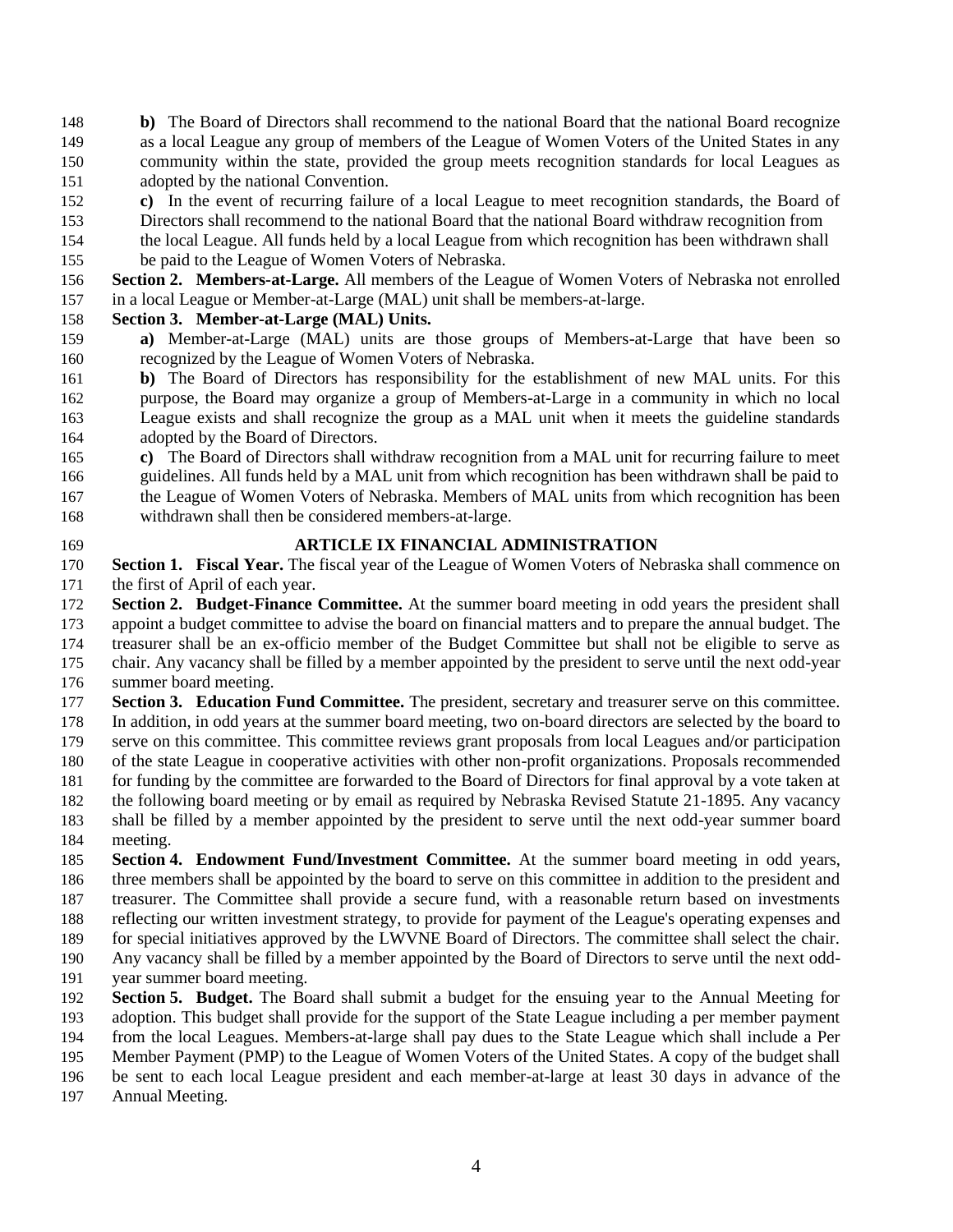- **b)** The Board of Directors shall recommend to the national Board that the national Board recognize as a local League any group of members of the League of Women Voters of the United States in any community within the state, provided the group meets recognition standards for local Leagues as adopted by the national Convention.
- **c)** In the event of recurring failure of a local League to meet recognition standards, the Board of
- Directors shall recommend to the national Board that the national Board withdraw recognition from
- the local League. All funds held by a local League from which recognition has been withdrawn shall be paid to the League of Women Voters of Nebraska.
- **Section 2. Members-at-Large.** All members of the League of Women Voters of Nebraska not enrolled in a local League or Member-at-Large (MAL) unit shall be members-at-large.

### **Section 3. Member-at-Large (MAL) Units.**

- **a)** Member-at-Large (MAL) units are those groups of Members-at-Large that have been so recognized by the League of Women Voters of Nebraska.
- **b)** The Board of Directors has responsibility for the establishment of new MAL units. For this purpose, the Board may organize a group of Members-at-Large in a community in which no local League exists and shall recognize the group as a MAL unit when it meets the guideline standards adopted by the Board of Directors.
- **c)** The Board of Directors shall withdraw recognition from a MAL unit for recurring failure to meet guidelines. All funds held by a MAL unit from which recognition has been withdrawn shall be paid to the League of Women Voters of Nebraska. Members of MAL units from which recognition has been
- withdrawn shall then be considered members-at-large.
- 

# **ARTICLE IX FINANCIAL ADMINISTRATION**

- **Section 1. Fiscal Year.** The fiscal year of the League of Women Voters of Nebraska shall commence on the first of April of each year.
- **Section 2. Budget-Finance Committee.** At the summer board meeting in odd years the president shall
- appoint a budget committee to advise the board on financial matters and to prepare the annual budget. The
- treasurer shall be an ex-officio member of the Budget Committee but shall not be eligible to serve as
- chair. Any vacancy shall be filled by a member appointed by the president to serve until the next odd-year summer board meeting.
- **Section 3. Education Fund Committee.** The president, secretary and treasurer serve on this committee.
- In addition, in odd years at the summer board meeting, two on-board directors are selected by the board to
- serve on this committee. This committee reviews grant proposals from local Leagues and/or participation
- of the state League in cooperative activities with other non-profit organizations. Proposals recommended
- for funding by the committee are forwarded to the Board of Directors for final approval by a vote taken at
- the following board meeting or by email as required by Nebraska Revised Statute 21-1895. Any vacancy
- shall be filled by a member appointed by the president to serve until the next odd-year summer board meeting.
- **Section 4. Endowment Fund/Investment Committee.** At the summer board meeting in odd years, three members shall be appointed by the board to serve on this committee in addition to the president and treasurer. The Committee shall provide a secure fund, with a reasonable return based on investments reflecting our written investment strategy, to provide for payment of the League's operating expenses and
- for special initiatives approved by the LWVNE Board of Directors. The committee shall select the chair.
- Any vacancy shall be filled by a member appointed by the Board of Directors to serve until the next odd-
- year summer board meeting.
- **Section 5. Budget.** The Board shall submit a budget for the ensuing year to the Annual Meeting for
- adoption. This budget shall provide for the support of the State League including a per member payment
- from the local Leagues. Members-at-large shall pay dues to the State League which shall include a Per
- Member Payment (PMP) to the League of Women Voters of the United States. A copy of the budget shall
- be sent to each local League president and each member-at-large at least 30 days in advance of the
- Annual Meeting.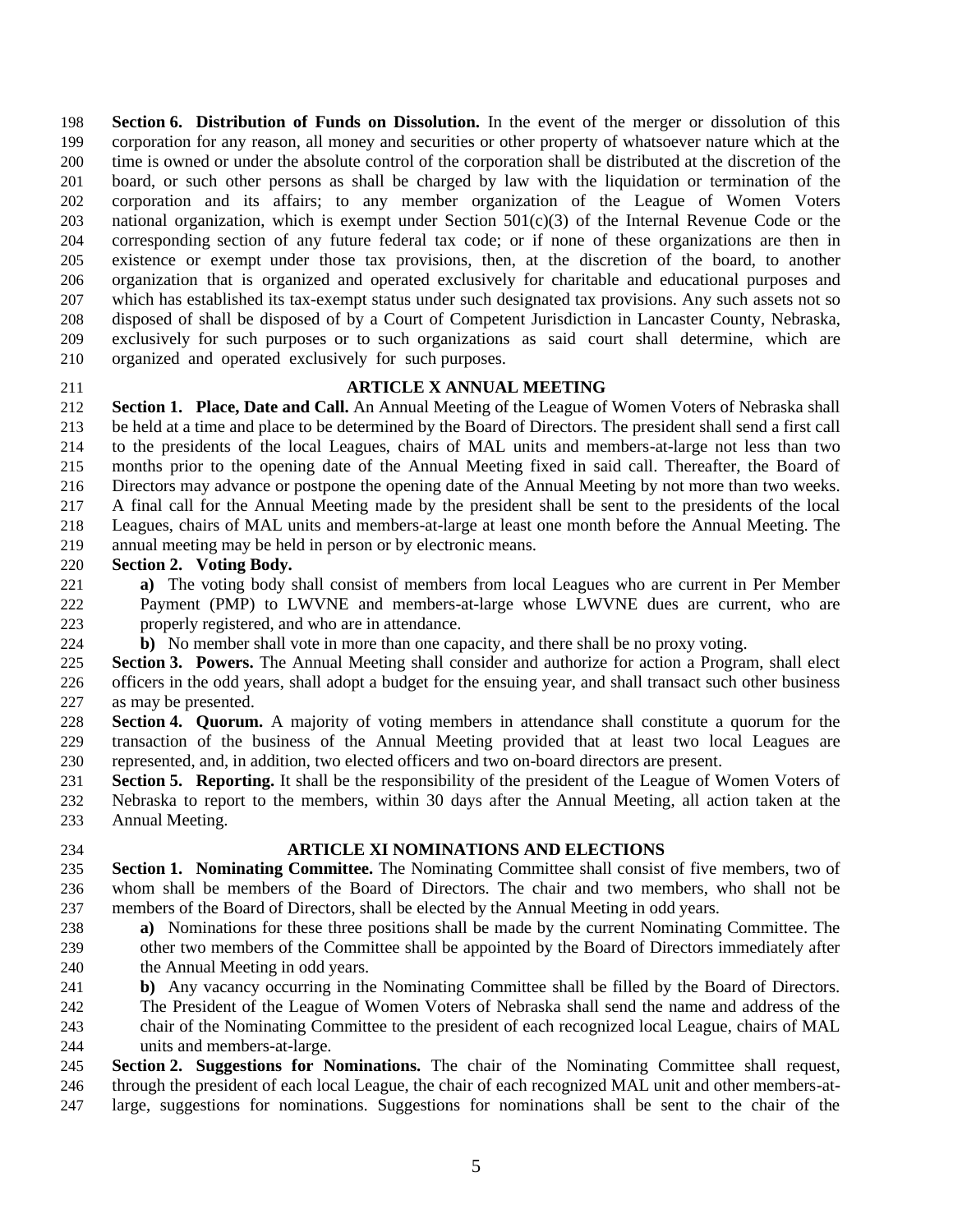**Section 6. Distribution of Funds on Dissolution.** In the event of the merger or dissolution of this corporation for any reason, all money and securities or other property of whatsoever nature which at the time is owned or under the absolute control of the corporation shall be distributed at the discretion of the board, or such other persons as shall be charged by law with the liquidation or termination of the corporation and its affairs; to any member organization of the League of Women Voters national organization, which is exempt under Section  $501(c)(3)$  of the Internal Revenue Code or the corresponding section of any future federal tax code; or if none of these organizations are then in existence or exempt under those tax provisions, then, at the discretion of the board, to another organization that is organized and operated exclusively for charitable and educational purposes and which has established its tax-exempt status under such designated tax provisions. Any such assets not so disposed of shall be disposed of by a Court of Competent Jurisdiction in Lancaster County, Nebraska, exclusively for such purposes or to such organizations as said court shall determine, which are organized and operated exclusively for such purposes.

### **ARTICLE X ANNUAL MEETING**

 **Section 1. Place, Date and Call.** An Annual Meeting of the League of Women Voters of Nebraska shall be held at a time and place to be determined by the Board of Directors. The president shall send a first call to the presidents of the local Leagues, chairs of MAL units and members-at-large not less than two months prior to the opening date of the Annual Meeting fixed in said call. Thereafter, the Board of Directors may advance or postpone the opening date of the Annual Meeting by not more than two weeks. A final call for the Annual Meeting made by the president shall be sent to the presidents of the local Leagues, chairs of MAL units and members-at-large at least one month before the Annual Meeting. The annual meeting may be held in person or by electronic means.

### **Section 2. Voting Body.**

- **a)** The voting body shall consist of members from local Leagues who are current in Per Member Payment (PMP) to LWVNE and members-at-large whose LWVNE dues are current, who are properly registered, and who are in attendance.
- **b**) No member shall vote in more than one capacity, and there shall be no proxy voting.
- **Section 3. Powers.** The Annual Meeting shall consider and authorize for action a Program, shall elect officers in the odd years, shall adopt a budget for the ensuing year, and shall transact such other business as may be presented.
- **Section 4. Quorum.** A majority of voting members in attendance shall constitute a quorum for the transaction of the business of the Annual Meeting provided that at least two local Leagues are represented, and, in addition, two elected officers and two on-board directors are present.
- **Section 5. Reporting.** It shall be the responsibility of the president of the League of Women Voters of Nebraska to report to the members, within 30 days after the Annual Meeting, all action taken at the Annual Meeting.
- 

### **ARTICLE XI NOMINATIONS AND ELECTIONS**

- **Section 1. Nominating Committee.** The Nominating Committee shall consist of five members, two of whom shall be members of the Board of Directors. The chair and two members, who shall not be members of the Board of Directors, shall be elected by the Annual Meeting in odd years.
- **a)** Nominations for these three positions shall be made by the current Nominating Committee. The other two members of the Committee shall be appointed by the Board of Directors immediately after 240 the Annual Meeting in odd years.
- **b)** Any vacancy occurring in the Nominating Committee shall be filled by the Board of Directors.
- The President of the League of Women Voters of Nebraska shall send the name and address of the chair of the Nominating Committee to the president of each recognized local League, chairs of MAL units and members-at-large.
- **Section 2. Suggestions for Nominations.** The chair of the Nominating Committee shall request, through the president of each local League, the chair of each recognized MAL unit and other members-at-large, suggestions for nominations. Suggestions for nominations shall be sent to the chair of the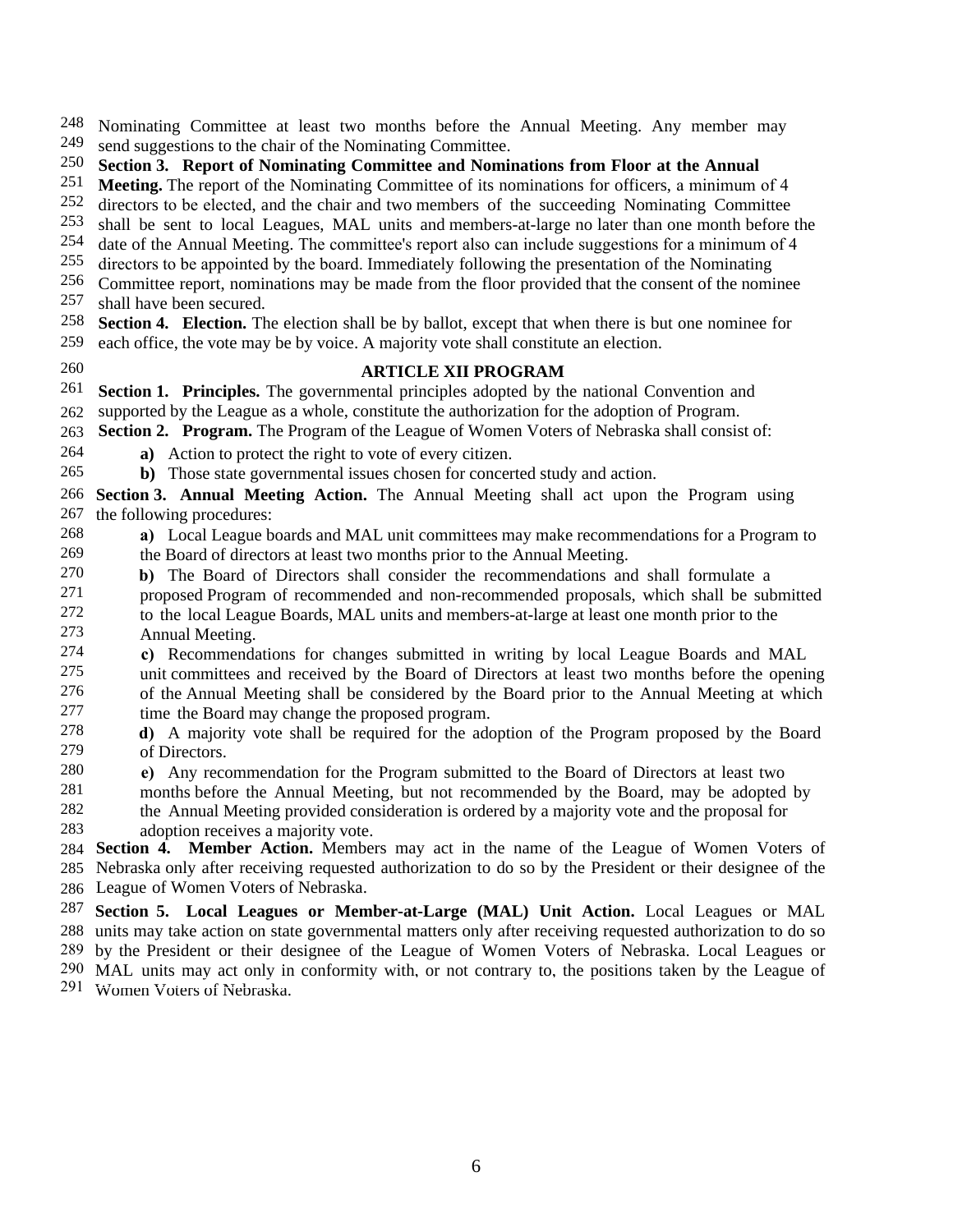248 249 Nominating Committee at least two months before the Annual Meeting. Any member may send suggestions to the chair of the Nominating Committee.

250 **Section 3. Report of Nominating Committee and Nominations from Floor at the Annual** 

251 **Meeting.** The report of the Nominating Committee of its nominations for officers, a minimum of 4

252 directors to be elected, and the chair and two members of the succeeding Nominating Committee

253 shall be sent to local Leagues, MAL units and members-at-large no later than one month before the

254 date of the Annual Meeting. The committee's report also can include suggestions for a minimum of 4

255 directors to be appointed by the board. Immediately following the presentation of the Nominating

256 Committee report, nominations may be made from the floor provided that the consent of the nominee

257 shall have been secured.

258 259 **Section 4. Election.** The election shall be by ballot, except that when there is but one nominee for each office, the vote may be by voice. A majority vote shall constitute an election.

260

### **ARTICLE XII PROGRAM**

**Section 1. Principles.** The governmental principles adopted by the national Convention and supported by the League as a whole, constitute the authorization for the adoption of Program. 261 262

**Section 2. Program.** The Program of the League of Women Voters of Nebraska shall consist of: 263

**a)** Action to protect the right to vote of every citizen. 264

**b)** Those state governmental issues chosen for concerted study and action. 265

266 **Section 3. Annual Meeting Action.** The Annual Meeting shall act upon the Program using the following procedures: 267

268 **a)** Local League boards and MAL unit committees may make recommendations for a Program to

269 the Board of directors at least two months prior to the Annual Meeting.

- 270 271 272 273 **b)** The Board of Directors shall consider the recommendations and shall formulate a proposed Program of recommended and non-recommended proposals, which shall be submitted to the local League Boards, MAL units and members-at-large at least one month prior to the Annual Meeting.
- 274 275 276 277 **c)** Recommendations for changes submitted in writing by local League Boards and MAL unit committees and received by the Board of Directors at least two months before the opening of the Annual Meeting shall be considered by the Board prior to the Annual Meeting at which time the Board may change the proposed program.
- 278 279 **d)** A majority vote shall be required for the adoption of the Program proposed by the Board of Directors.

**e)** Any recommendation for the Program submitted to the Board of Directors at least two 280

months before the Annual Meeting, but not recommended by the Board, may be adopted by 281

the Annual Meeting provided consideration is ordered by a majority vote and the proposal for 282

adoption receives a majority vote. 283

284 **Section 4. Member Action.** Members may act in the name of the League of Women Voters of Nebraska only after receiving requested authorization to do so by the President or their designee of the 285 League of Women Voters of Nebraska. 286

287 **Section 5. Local Leagues or Member-at-Large (MAL) Unit Action.** Local Leagues or MAL

units may take action on state governmental matters only after receiving requested authorization to do so 288

289 by the President or their designee of the League of Women Voters of Nebraska. Local Leagues or

MAL units may act only in conformity with, or not contrary to, the positions taken by the League of 290 Women Voters of Nebraska. 291